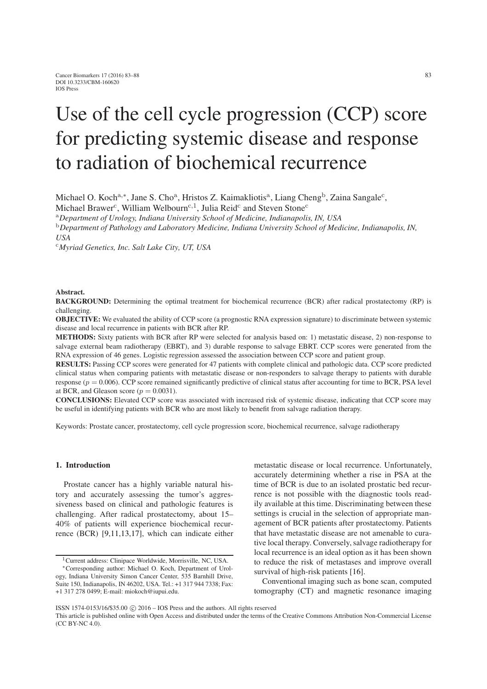# Use of the cell cycle progression (CCP) score for predicting systemic disease and response to radiation of biochemical recurrence

Michael O. Koch<sup>a,∗</sup>, Jane S. Cho<sup>a</sup>, Hristos Z. Kaimakliotis<sup>a</sup>, Liang Cheng<sup>b</sup>, Zaina Sangale<sup>c</sup>,

Michael Brawer<sup>c</sup>, William Welbourn<sup>c,1</sup>, Julia Reid<sup>c</sup> and Steven Stone<sup>c</sup>

<sup>a</sup>*Department of Urology, Indiana University School of Medicine, Indianapolis, IN, USA*

<sup>b</sup>*Department of Pathology and Laboratory Medicine, Indiana University School of Medicine, Indianapolis, IN, USA*

<sup>c</sup>*Myriad Genetics, Inc. Salt Lake City, UT, USA*

#### Abstract.

BACKGROUND: Determining the optimal treatment for biochemical recurrence (BCR) after radical prostatectomy (RP) is challenging.

OBJECTIVE: We evaluated the ability of CCP score (a prognostic RNA expression signature) to discriminate between systemic disease and local recurrence in patients with BCR after RP.

METHODS: Sixty patients with BCR after RP were selected for analysis based on: 1) metastatic disease, 2) non-response to salvage external beam radiotherapy (EBRT), and 3) durable response to salvage EBRT. CCP scores were generated from the RNA expression of 46 genes. Logistic regression assessed the association between CCP score and patient group.

RESULTS: Passing CCP scores were generated for 47 patients with complete clinical and pathologic data. CCP score predicted clinical status when comparing patients with metastatic disease or non-responders to salvage therapy to patients with durable response ( $p = 0.006$ ). CCP score remained significantly predictive of clinical status after accounting for time to BCR, PSA level at BCR, and Gleason score ( $p = 0.0031$ ).

CONCLUSIONS: Elevated CCP score was associated with increased risk of systemic disease, indicating that CCP score may be useful in identifying patients with BCR who are most likely to benefit from salvage radiation therapy.

Keywords: Prostate cancer, prostatectomy, cell cycle progression score, biochemical recurrence, salvage radiotherapy

## 1. Introduction

Prostate cancer has a highly variable natural history and accurately assessing the tumor's aggressiveness based on clinical and pathologic features is challenging. After radical prostatectomy, about 15– 40% of patients will experience biochemical recurrence (BCR) [\[9,](#page-4-0)[11](#page-4-1)[,13,](#page-5-0)[17\]](#page-5-1), which can indicate either metastatic disease or local recurrence. Unfortunately, accurately determining whether a rise in PSA at the time of BCR is due to an isolated prostatic bed recurrence is not possible with the diagnostic tools readily available at this time. Discriminating between these settings is crucial in the selection of appropriate management of BCR patients after prostatectomy. Patients that have metastatic disease are not amenable to curative local therapy. Conversely, salvage radiotherapy for local recurrence is an ideal option as it has been shown to reduce the risk of metastases and improve overall survival of high-risk patients [\[16\]](#page-5-2).

Conventional imaging such as bone scan, computed tomography (CT) and magnetic resonance imaging

<sup>1</sup>Current address: Clinipace Worldwide, Morrisville, NC, USA.

<sup>∗</sup>Corresponding author: Michael O. Koch, Department of Urology, Indiana University Simon Cancer Center, 535 Barnhill Drive, Suite 150, Indianapolis, IN 46202, USA. Tel.: +1 317 944 7338; Fax: +1 317 278 0499; E-mail: miokoch@iupui.edu.

ISSN 1574-0153/16/\$35.00  $\odot$  2016 – IOS Press and the authors. All rights reserved

This article is published online with Open Access and distributed under the terms of the Creative Commons Attribution Non-Commercial License (CC BY-NC 4.0).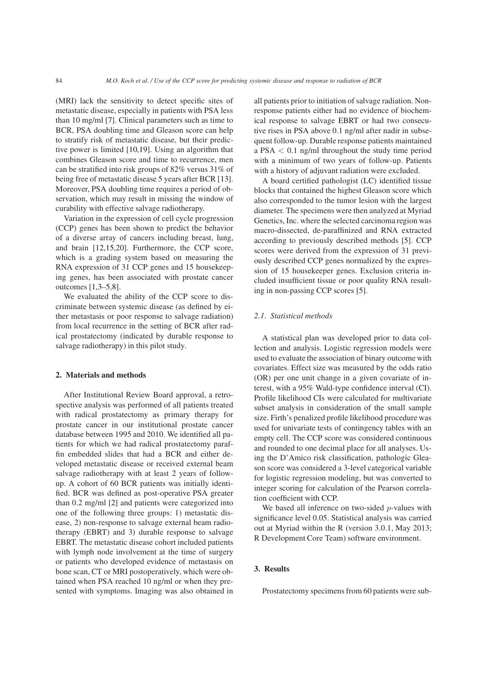(MRI) lack the sensitivity to detect specific sites of metastatic disease, especially in patients with PSA less than 10 mg/ml [\[7\]](#page-4-2). Clinical parameters such as time to BCR, PSA doubling time and Gleason score can help to stratify risk of metastatic disease, but their predictive power is limited [\[10,](#page-4-3)[19\]](#page-5-3). Using an algorithm that combines Gleason score and time to recurrence, men can be stratified into risk groups of 82% versus 31% of being free of metastatic disease 5 years after BCR [\[13\]](#page-5-0). Moreover, PSA doubling time requires a period of observation, which may result in missing the window of curability with effective salvage radiotherapy.

Variation in the expression of cell cycle progression (CCP) genes has been shown to predict the behavior of a diverse array of cancers including breast, lung, and brain [\[12,](#page-5-4)[15](#page-5-5)[,20\]](#page-5-6). Furthermore, the CCP score, which is a grading system based on measuring the RNA expression of 31 CCP genes and 15 housekeeping genes, has been associated with prostate cancer outcomes [\[1,](#page-4-4)[3](#page-4-5)[–5](#page-4-6)[,8\]](#page-4-7).

We evaluated the ability of the CCP score to discriminate between systemic disease (as defined by either metastasis or poor response to salvage radiation) from local recurrence in the setting of BCR after radical prostatectomy (indicated by durable response to salvage radiotherapy) in this pilot study.

## 2. Materials and methods

After Institutional Review Board approval, a retrospective analysis was performed of all patients treated with radical prostatectomy as primary therapy for prostate cancer in our institutional prostate cancer database between 1995 and 2010. We identified all patients for which we had radical prostatectomy paraffin embedded slides that had a BCR and either developed metastatic disease or received external beam salvage radiotherapy with at least 2 years of followup. A cohort of 60 BCR patients was initially identified. BCR was defined as post-operative PSA greater than 0.2 mg/ml [\[2\]](#page-4-8) and patients were categorized into one of the following three groups: 1) metastatic disease, 2) non-response to salvage external beam radiotherapy (EBRT) and 3) durable response to salvage EBRT. The metastatic disease cohort included patients with lymph node involvement at the time of surgery or patients who developed evidence of metastasis on bone scan, CT or MRI postoperatively, which were obtained when PSA reached 10 ng/ml or when they presented with symptoms. Imaging was also obtained in all patients prior to initiation of salvage radiation. Nonresponse patients either had no evidence of biochemical response to salvage EBRT or had two consecutive rises in PSA above 0.1 ng/ml after nadir in subsequent follow-up. Durable response patients maintained a PSA *<* 0.1 ng/ml throughout the study time period with a minimum of two years of follow-up. Patients with a history of adjuvant radiation were excluded.

A board certified pathologist (LC) identified tissue blocks that contained the highest Gleason score which also corresponded to the tumor lesion with the largest diameter. The specimens were then analyzed at Myriad Genetics, Inc. where the selected carcinoma region was macro-dissected, de-paraffinized and RNA extracted according to previously described methods [\[5\]](#page-4-6). CCP scores were derived from the expression of 31 previously described CCP genes normalized by the expression of 15 housekeeper genes. Exclusion criteria included insufficient tissue or poor quality RNA resulting in non-passing CCP scores [\[5\]](#page-4-6).

#### *2.1. Statistical methods*

A statistical plan was developed prior to data collection and analysis. Logistic regression models were used to evaluate the association of binary outcome with covariates. Effect size was measured by the odds ratio (OR) per one unit change in a given covariate of interest, with a 95% Wald-type confidence interval (CI). Profile likelihood CIs were calculated for multivariate subset analysis in consideration of the small sample size. Firth's penalized profile likelihood procedure was used for univariate tests of contingency tables with an empty cell. The CCP score was considered continuous and rounded to one decimal place for all analyses. Using the D'Amico risk classification, pathologic Gleason score was considered a 3-level categorical variable for logistic regression modeling, but was converted to integer scoring for calculation of the Pearson correlation coefficient with CCP.

We based all inference on two-sided *p*-values with significance level 0.05. Statistical analysis was carried out at Myriad within the R (version 3.0.1, May 2013; R Development Core Team) software environment.

## 3. Results

Prostatectomy specimens from 60 patients were sub-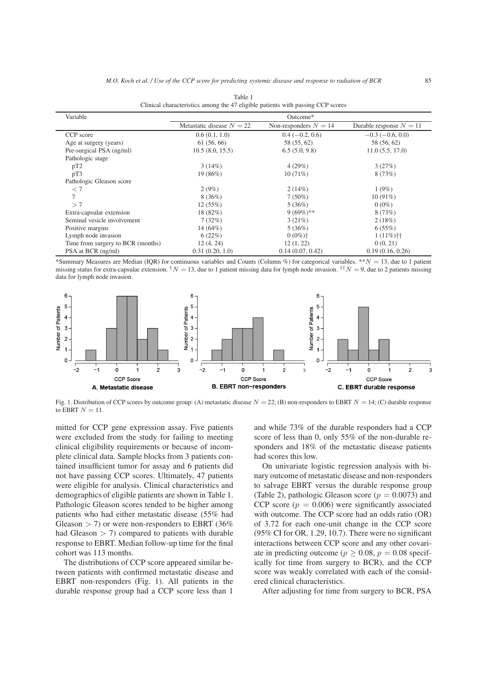| Chineal characteristics among the +7 engloic patients with passing CCT scores |                             |                         |                           |  |  |  |  |
|-------------------------------------------------------------------------------|-----------------------------|-------------------------|---------------------------|--|--|--|--|
| Variable                                                                      | Outcome*                    |                         |                           |  |  |  |  |
|                                                                               | Metastatic disease $N = 22$ | Non-responders $N = 14$ | Durable response $N = 11$ |  |  |  |  |
| CCP score                                                                     | 0.6(0.1, 1.0)               | $0.4(-0.2, 0.6)$        | $-0.3(-0.6, 0.0)$         |  |  |  |  |
| Age at surgery (years)                                                        | 61(56, 66)                  | 58 (55, 62)             | 58 (56, 62)               |  |  |  |  |
| Pre-surgical PSA (ng/ml)                                                      | 10.5(8.0, 15.5)             | 6.5(5.0, 9.8)           | 11.0(5.5, 17.0)           |  |  |  |  |
| Pathologic stage                                                              |                             |                         |                           |  |  |  |  |
| pT2                                                                           | 3(14%)                      | 4(29%)                  | 3(27%)                    |  |  |  |  |
| pT3                                                                           | 19 (86%)                    | 10(71%)                 | 8(73%)                    |  |  |  |  |
| Pathologic Gleason score                                                      |                             |                         |                           |  |  |  |  |
| $<$ 7                                                                         | 2(9%)                       | 2(14%)                  | 1(9%)                     |  |  |  |  |
| 7                                                                             | 8(36%)                      | $7(50\%)$               | $10(91\%)$                |  |  |  |  |
| >7                                                                            | 12(55%)                     | 5(36%)                  | $0(0\%)$                  |  |  |  |  |
| Extra-capsular extension                                                      | 18 (82%)                    | $9(69\%)**$             | 8(73%)                    |  |  |  |  |
| Seminal vesicle involvement                                                   | 7(32%)                      | 3(21%)                  | 2(18%)                    |  |  |  |  |
| Positive margins                                                              | 14 (64%)                    | 5(36%)                  | 6(55%)                    |  |  |  |  |
| Lymph node invasion                                                           | 6(22%)                      | $0(0\%)\dagger$         | $1(11\%)$ ††              |  |  |  |  |
| Time from surgery to BCR (months)                                             | 12(4, 24)                   | 12(1, 22)               | 0(0, 21)                  |  |  |  |  |
| PSA at BCR (ng/ml)                                                            | 0.31(0.20, 1.0)             | 0.14(0.07, 0.42)        | 0.19(0.16, 0.26)          |  |  |  |  |

Table 1 Clinical characteristics among the 47 eligible patients with passing CCP scores

\*Summary Measures are Median (IQR) for continuous variables and Counts (Column %) for categorical variables. \*\**N* = 13, due to 1 patient missing status for extra-capsular extension. <sup>†</sup>*N* = 13, due to 1 patient missing data for lymph node invasion. <sup>††</sup>*N* = 9, due to 2 patients missing data for lymph node invasion.



Fig. 1. Distribution of CCP scores by outcome group: (A) metastatic disease *N* = 22; (B) non-responders to EBRT *N* = 14; (C) durable response to EBRT  $N = 11$ .

mitted for CCP gene expression assay. Five patients were excluded from the study for failing to meeting clinical eligibility requirements or because of incomplete clinical data. Sample blocks from 3 patients contained insufficient tumor for assay and 6 patients did not have passing CCP scores. Ultimately, 47 patients were eligible for analysis. Clinical characteristics and demographics of eligible patients are shown in Table 1. Pathologic Gleason scores tended to be higher among patients who had either metastatic disease (55% had Gleason *>* 7) or were non-responders to EBRT (36% had Gleason *>* 7) compared to patients with durable response to EBRT. Median follow-up time for the final cohort was 113 months.

The distributions of CCP score appeared similar between patients with confirmed metastatic disease and EBRT non-responders (Fig. 1). All patients in the durable response group had a CCP score less than 1 and while 73% of the durable responders had a CCP score of less than 0, only 55% of the non-durable responders and 18% of the metastatic disease patients had scores this low.

On univariate logistic regression analysis with binary outcome of metastatic disease and non-responders to salvage EBRT versus the durable response group (Table 2), pathologic Gleason score ( $p = 0.0073$ ) and CCP score  $(p = 0.006)$  were significantly associated with outcome. The CCP score had an odds ratio (OR) of 3.72 for each one-unit change in the CCP score (95% CI for OR, 1.29, 10.7). There were no significant interactions between CCP score and any other covariate in predicting outcome ( $p \ge 0.08$ ,  $p = 0.08$  specifically for time from surgery to BCR), and the CCP score was weakly correlated with each of the considered clinical characteristics.

After adjusting for time from surgery to BCR, PSA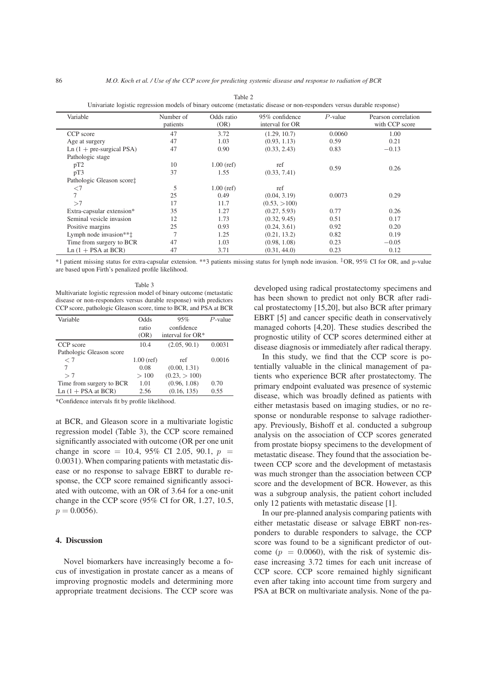| Univariate logistic regression models of binary outcome (metastatic disease or non-responders versus durable response) |                       |                    |                                   |            |                                       |  |  |
|------------------------------------------------------------------------------------------------------------------------|-----------------------|--------------------|-----------------------------------|------------|---------------------------------------|--|--|
| Variable                                                                                                               | Number of<br>patients | Odds ratio<br>(OR) | 95% confidence<br>interval for OR | $P$ -value | Pearson correlation<br>with CCP score |  |  |
| CCP score                                                                                                              | 47                    | 3.72               | (1.29, 10.7)                      | 0.0060     | 1.00                                  |  |  |
| Age at surgery                                                                                                         | 47                    | 1.03               | (0.93, 1.13)                      | 0.59       | 0.21                                  |  |  |
| $Ln(1 + pre-surgical PSA)$                                                                                             | 47                    | 0.90               | (0.33, 2.43)                      | 0.83       | $-0.13$                               |  |  |
| Pathologic stage                                                                                                       |                       |                    |                                   |            |                                       |  |  |
| pT2                                                                                                                    | 10                    | $1.00$ (ref)       | ref                               |            |                                       |  |  |
| pT3                                                                                                                    | 37                    | 1.55               | (0.33, 7.41)                      | 0.59       | 0.26                                  |  |  |
| Pathologic Gleason scoret                                                                                              |                       |                    |                                   |            |                                       |  |  |
| $<$ 7                                                                                                                  | 5                     | $1.00$ (ref)       | ref                               |            |                                       |  |  |
| 7                                                                                                                      | 25                    | 0.49               | (0.04, 3.19)                      | 0.0073     | 0.29                                  |  |  |
| >7                                                                                                                     | 17                    | 11.7               | (0.53, >100)                      |            |                                       |  |  |
| Extra-capsular extension*                                                                                              | 35                    | 1.27               | (0.27, 5.93)                      | 0.77       | 0.26                                  |  |  |
| Seminal vesicle invasion                                                                                               | 12                    | 1.73               | (0.32, 9.45)                      | 0.51       | 0.17                                  |  |  |
| Positive margins                                                                                                       | 25                    | 0.93               | (0.24, 3.61)                      | 0.92       | 0.20                                  |  |  |
| Lymph node invasion $**\ddagger$                                                                                       |                       | 1.25               | (0.21, 13.2)                      | 0.82       | 0.19                                  |  |  |
| Time from surgery to BCR                                                                                               | 47                    | 1.03               | (0.98, 1.08)                      | 0.23       | $-0.05$                               |  |  |
| $Ln(1 + PSA at BCR)$                                                                                                   | 47                    | 3.71               | (0.31, 44.0)                      | 0.23       | 0.12                                  |  |  |

Table 2 Univariate logistic regression models of binary outcome (metastatic disease or non-responders versus durable response)

\*1 patient missing status for extra-capsular extension. \*\*3 patients missing status for lymph node invasion. ‡OR, 95% CI for OR, and *p*-value are based upon Firth's penalized profile likelihood.

Table 3 Multivariate logistic regression model of binary outcome (metastatic disease or non-responders versus durable response) with predictors CCP score, pathologic Gleason score, time to BCR, and PSA at BCR

| Variable                 | Odds         | 95%              | $P$ -value |
|--------------------------|--------------|------------------|------------|
|                          | ratio        | confidence       |            |
|                          | (OR)         | interval for OR* |            |
| CCP score                | 10.4         | (2.05, 90.1)     | 0.0031     |
| Pathologic Gleason score |              |                  |            |
| $<$ 7                    | $1.00$ (ref) | ref              | 0.0016     |
| 7                        | 0.08         | (0.00, 1.31)     |            |
| >7                       | >100         | (0.23, > 100)    |            |
| Time from surgery to BCR | 1.01         | (0.96, 1.08)     | 0.70       |
| $Ln(1 + PSA at BCR)$     | 2.56         | (0.16, 135)      | 0.55       |

\*Confidence intervals fit by profile likelihood.

at BCR, and Gleason score in a multivariate logistic regression model (Table 3), the CCP score remained significantly associated with outcome (OR per one unit change in score = 10.4, 95% CI 2.05, 90.1,  $p =$ 0.0031). When comparing patients with metastatic disease or no response to salvage EBRT to durable response, the CCP score remained significantly associated with outcome, with an OR of 3.64 for a one-unit change in the CCP score (95% CI for OR, 1.27, 10.5,  $p = 0.0056$ .

## 4. Discussion

Novel biomarkers have increasingly become a focus of investigation in prostate cancer as a means of improving prognostic models and determining more appropriate treatment decisions. The CCP score was developed using radical prostatectomy specimens and has been shown to predict not only BCR after radical prostatectomy [\[15,](#page-5-5)[20\]](#page-5-6), but also BCR after primary EBRT [\[5\]](#page-4-6) and cancer specific death in conservatively managed cohorts [\[4,](#page-4-9)[20\]](#page-5-6). These studies described the prognostic utility of CCP scores determined either at disease diagnosis or immediately after radical therapy.

In this study, we find that the CCP score is potentially valuable in the clinical management of patients who experience BCR after prostatectomy. The primary endpoint evaluated was presence of systemic disease, which was broadly defined as patients with either metastasis based on imaging studies, or no response or nondurable response to salvage radiotherapy. Previously, Bishoff et al. conducted a subgroup analysis on the association of CCP scores generated from prostate biopsy specimens to the development of metastatic disease. They found that the association between CCP score and the development of metastasis was much stronger than the association between CCP score and the development of BCR. However, as this was a subgroup analysis, the patient cohort included only 12 patients with metastatic disease [\[1\]](#page-4-4).

In our pre-planned analysis comparing patients with either metastatic disease or salvage EBRT non-responders to durable responders to salvage, the CCP score was found to be a significant predictor of outcome ( $p = 0.0060$ ), with the risk of systemic disease increasing 3.72 times for each unit increase of CCP score. CCP score remained highly significant even after taking into account time from surgery and PSA at BCR on multivariate analysis. None of the pa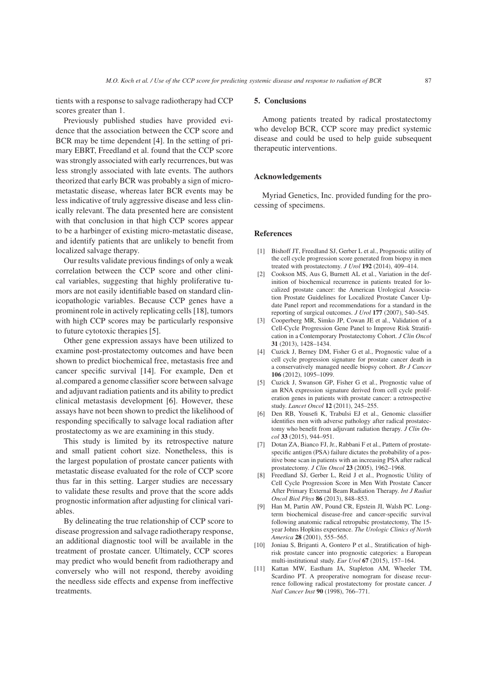tients with a response to salvage radiotherapy had CCP scores greater than 1.

Previously published studies have provided evidence that the association between the CCP score and BCR may be time dependent [\[4\]](#page-4-9). In the setting of primary EBRT, Freedland et al. found that the CCP score was strongly associated with early recurrences, but was less strongly associated with late events. The authors theorized that early BCR was probably a sign of micrometastatic disease, whereas later BCR events may be less indicative of truly aggressive disease and less clinically relevant. The data presented here are consistent with that conclusion in that high CCP scores appear to be a harbinger of existing micro-metastatic disease, and identify patients that are unlikely to benefit from localized salvage therapy.

Our results validate previous findings of only a weak correlation between the CCP score and other clinical variables, suggesting that highly proliferative tumors are not easily identifiable based on standard clinicopathologic variables. Because CCP genes have a prominent role in actively replicating cells [\[18\]](#page-5-7), tumors with high CCP scores may be particularly responsive to future cytotoxic therapies [\[5\]](#page-4-6).

Other gene expression assays have been utilized to examine post-prostatectomy outcomes and have been shown to predict biochemical free, metastasis free and cancer specific survival [\[14\]](#page-5-8). For example, Den et al.compared a genome classifier score between salvage and adjuvant radiation patients and its ability to predict clinical metastasis development [\[6\]](#page-4-10). However, these assays have not been shown to predict the likelihood of responding specifically to salvage local radiation after prostatectomy as we are examining in this study.

This study is limited by its retrospective nature and small patient cohort size. Nonetheless, this is the largest population of prostate cancer patients with metastatic disease evaluated for the role of CCP score thus far in this setting. Larger studies are necessary to validate these results and prove that the score adds prognostic information after adjusting for clinical variables.

By delineating the true relationship of CCP score to disease progression and salvage radiotherapy response, an additional diagnostic tool will be available in the treatment of prostate cancer. Ultimately, CCP scores may predict who would benefit from radiotherapy and conversely who will not respond, thereby avoiding the needless side effects and expense from ineffective treatments.

#### 5. Conclusions

Among patients treated by radical prostatectomy who develop BCR, CCP score may predict systemic disease and could be used to help guide subsequent therapeutic interventions.

### Acknowledgements

Myriad Genetics, Inc. provided funding for the processing of specimens.

#### References

- <span id="page-4-4"></span>[1] Bishoff JT, Freedland SJ, Gerber L et al., Prognostic utility of the cell cycle progression score generated from biopsy in men treated with prostatectomy. *J Urol* 192 (2014), 409–414.
- <span id="page-4-8"></span>[2] Cookson MS, Aus G, Burnett AL et al., Variation in the definition of biochemical recurrence in patients treated for localized prostate cancer: the American Urological Association Prostate Guidelines for Localized Prostate Cancer Update Panel report and recommendations for a standard in the reporting of surgical outcomes. *J Urol* 177 (2007), 540–545.
- <span id="page-4-5"></span>[3] Cooperberg MR, Simko JP, Cowan JE et al., Validation of a Cell-Cycle Progression Gene Panel to Improve Risk Stratification in a Contemporary Prostatectomy Cohort. *J Clin Oncol* 31 (2013), 1428–1434.
- <span id="page-4-9"></span>[4] Cuzick J, Berney DM, Fisher G et al., Prognostic value of a cell cycle progression signature for prostate cancer death in a conservatively managed needle biopsy cohort. *Br J Cancer* 106 (2012), 1095–1099.
- <span id="page-4-6"></span>[5] Cuzick J, Swanson GP, Fisher G et al., Prognostic value of an RNA expression signature derived from cell cycle proliferation genes in patients with prostate cancer: a retrospective study. *Lancet Oncol* 12 (2011), 245–255.
- <span id="page-4-10"></span>[6] Den RB, Yousefi K, Trabulsi EJ et al., Genomic classifier identifies men with adverse pathology after radical prostatectomy who benefit from adjuvant radiation therapy. *J Clin Oncol* 33 (2015), 944–951.
- <span id="page-4-2"></span>[7] Dotan ZA, Bianco FJ, Jr., Rabbani F et al., Pattern of prostatespecific antigen (PSA) failure dictates the probability of a positive bone scan in patients with an increasing PSA after radical prostatectomy. *J Clin Oncol* 23 (2005), 1962–1968.
- <span id="page-4-7"></span>[8] Freedland SJ, Gerber L, Reid J et al., Prognostic Utility of Cell Cycle Progression Score in Men With Prostate Cancer After Primary External Beam Radiation Therapy. *Int J Radiat Oncol Biol Phys* 86 (2013), 848–853.
- <span id="page-4-0"></span>[9] Han M, Partin AW, Pound CR, Epstein JI, Walsh PC. Longterm biochemical disease-free and cancer-specific survival following anatomic radical retropubic prostatectomy, The 15 year Johns Hopkins experience. *The Urologic Clinics of North America* 28 (2001), 555–565.
- <span id="page-4-3"></span>[10] Joniau S, Briganti A, Gontero P et al., Stratification of highrisk prostate cancer into prognostic categories: a European multi-institutional study. *Eur Urol* 67 (2015), 157–164.
- <span id="page-4-1"></span>[11] Kattan MW, Eastham JA, Stapleton AM, Wheeler TM, Scardino PT. A preoperative nomogram for disease recurrence following radical prostatectomy for prostate cancer. *J Natl Cancer Inst* 90 (1998), 766–771.